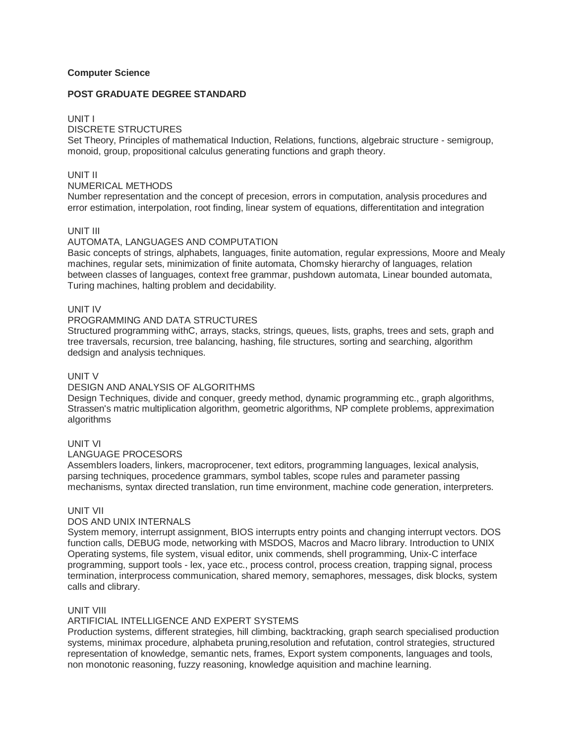## **Computer Science**

### **POST GRADUATE DEGREE STANDARD**

### UNIT I

# DISCRETE STRUCTURES

Set Theory, Principles of mathematical Induction, Relations, functions, algebraic structure - semigroup, monoid, group, propositional calculus generating functions and graph theory.

### UNIT II

# NUMERICAL METHODS

Number representation and the concept of precesion, errors in computation, analysis procedures and error estimation, interpolation, root finding, linear system of equations, differentitation and integration

#### UNIT III

#### AUTOMATA, LANGUAGES AND COMPUTATION

Basic concepts of strings, alphabets, languages, finite automation, regular expressions, Moore and Mealy machines, regular sets, minimization of finite automata, Chomsky hierarchy of languages, relation between classes of languages, context free grammar, pushdown automata, Linear bounded automata, Turing machines, halting problem and decidability.

## UNIT IV

### PROGRAMMING AND DATA STRUCTURES

Structured programming withC, arrays, stacks, strings, queues, lists, graphs, trees and sets, graph and tree traversals, recursion, tree balancing, hashing, file structures, sorting and searching, algorithm dedsign and analysis techniques.

# UNIT V

# DESIGN AND ANALYSIS OF ALGORITHMS

Design Techniques, divide and conquer, greedy method, dynamic programming etc., graph algorithms, Strassen's matric multiplication algorithm, geometric algorithms, NP complete problems, appreximation algorithms

#### UNIT VI

## LANGUAGE PROCESORS

Assemblers loaders, linkers, macroprocener, text editors, programming languages, lexical analysis, parsing techniques, procedence grammars, symbol tables, scope rules and parameter passing mechanisms, syntax directed translation, run time environment, machine code generation, interpreters.

## UNIT VII

# DOS AND UNIX INTERNALS

System memory, interrupt assignment, BIOS interrupts entry points and changing interrupt vectors. DOS function calls, DEBUG mode, networking with MSDOS, Macros and Macro library. Introduction to UNIX Operating systems, file system, visual editor, unix commends, shell programming, Unix-C interface programming, support tools - lex, yace etc., process control, process creation, trapping signal, process termination, interprocess communication, shared memory, semaphores, messages, disk blocks, system calls and clibrary.

#### UNIT VIII

## ARTIFICIAL INTELLIGENCE AND EXPERT SYSTEMS

Production systems, different strategies, hill climbing, backtracking, graph search specialised production systems, minimax procedure, alphabeta pruning,resolution and refutation, control strategies, structured representation of knowledge, semantic nets, frames, Export system components, languages and tools, non monotonic reasoning, fuzzy reasoning, knowledge aquisition and machine learning.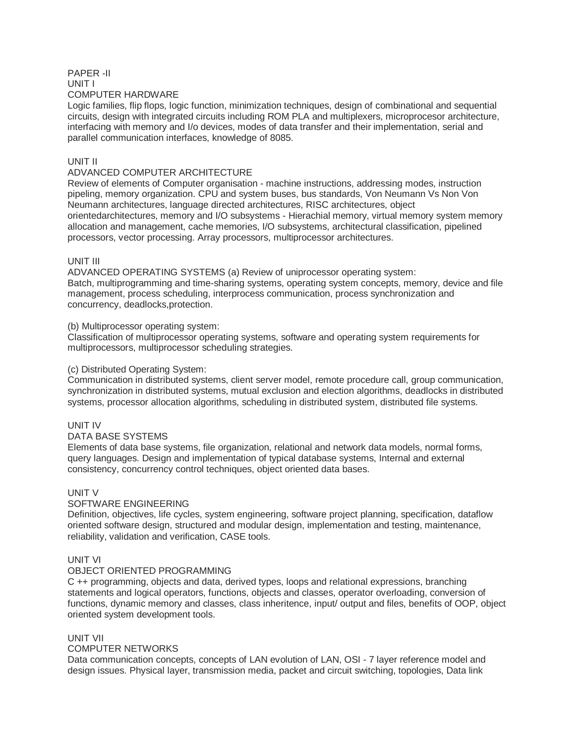### PAPER -II UNIT I COMPUTER HARDWARE

Logic families, flip flops, logic function, minimization techniques, design of combinational and sequential circuits, design with integrated circuits including ROM PLA and multiplexers, microprocesor architecture, interfacing with memory and I/o devices, modes of data transfer and their implementation, serial and parallel communication interfaces, knowledge of 8085.

# UNIT II

# ADVANCED COMPUTER ARCHITECTURE

Review of elements of Computer organisation - machine instructions, addressing modes, instruction pipeling, memory organization. CPU and system buses, bus standards, Von Neumann Vs Non Von Neumann architectures, language directed architectures, RISC architectures, object orientedarchitectures, memory and I/O subsystems - Hierachial memory, virtual memory system memory allocation and management, cache memories, I/O subsystems, architectural classification, pipelined processors, vector processing. Array processors, multiprocessor architectures.

# UNIT III

ADVANCED OPERATING SYSTEMS (a) Review of uniprocessor operating system: Batch, multiprogramming and time-sharing systems, operating system concepts, memory, device and file management, process scheduling, interprocess communication, process synchronization and concurrency, deadlocks,protection.

# (b) Multiprocessor operating system:

Classification of multiprocessor operating systems, software and operating system requirements for multiprocessors, multiprocessor scheduling strategies.

## (c) Distributed Operating System:

Communication in distributed systems, client server model, remote procedure call, group communication, synchronization in distributed systems, mutual exclusion and election algorithms, deadlocks in distributed systems, processor allocation algorithms, scheduling in distributed system, distributed file systems.

## UNIT IV

## DATA BASE SYSTEMS

Elements of data base systems, file organization, relational and network data models, normal forms, query languages. Design and implementation of typical database systems, Internal and external consistency, concurrency control techniques, object oriented data bases.

# UNIT V

## SOFTWARE ENGINEERING

Definition, objectives, life cycles, system engineering, software project planning, specification, dataflow oriented software design, structured and modular design, implementation and testing, maintenance, reliability, validation and verification, CASE tools.

# UNIT VI

## OBJECT ORIENTED PROGRAMMING

C ++ programming, objects and data, derived types, loops and relational expressions, branching statements and logical operators, functions, objects and classes, operator overloading, conversion of functions, dynamic memory and classes, class inheritence, input/ output and files, benefits of OOP, object oriented system development tools.

## UNIT VII

## COMPUTER NETWORKS

Data communication concepts, concepts of LAN evolution of LAN, OSI - 7 layer reference model and design issues. Physical layer, transmission media, packet and circuit switching, topologies, Data link